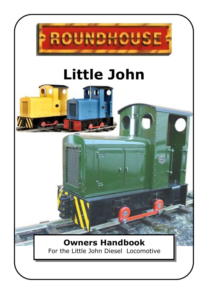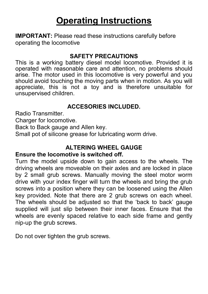# **Operating Instructions**

**IMPORTANT:** Please read these instructions carefully before operating the locomotive

#### **SAFETY PRECAUTIONS**

This is a working battery diesel model locomotive. Provided it is operated with reasonable care and attention, no problems should arise. The motor used in this locomotive is very powerful and you should avoid touching the moving parts when in motion. As you will appreciate, this is not a toy and is therefore unsuitable for unsupervised children.

# **ACCESORIES INCLUDED.**

Radio Transmitter.

Charger for locomotive.

Back to Back gauge and Allen key.

Small pot of silicone grease for lubricating worm drive.

## **ALTERING WHEEL GAUGE**

### **Ensure the locomotive is switched off.**

Turn the model upside down to gain access to the wheels. The driving wheels are moveable on their axles and are locked in place by 2 small grub screws. Manually moving the steel motor worm drive with your index finger will turn the wheels and bring the grub screws into a position where they can be loosened using the Allen key provided. Note that there are 2 grub screws on each wheel. The wheels should be adjusted so that the 'back to back' gauge supplied will just slip between their inner faces. Ensure that the wheels are evenly spaced relative to each side frame and gently nip-up the grub screws.

Do not over tighten the grub screws.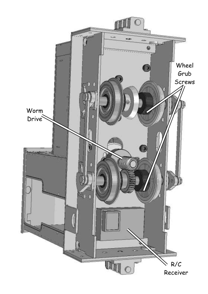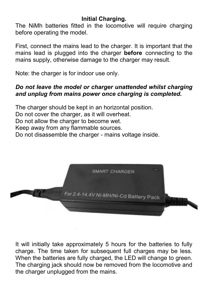# **Initial Charging.**

The NiMh batteries fitted in the locomotive will require charging before operating the model.

First, connect the mains lead to the charger. It is important that the mains lead is plugged into the charger **before** connecting to the mains supply, otherwise damage to the charger may result.

Note: the charger is for indoor use only.

## *Do not leave the model or charger unattended whilst charging and unplug from mains power once charging is completed.*

The charger should be kept in an horizontal position. Do not cover the charger, as it will overheat. Do not allow the charger to become wet. Keep away from any flammable sources. Do not disassemble the charger - mains voltage inside.



It will initially take approximately 5 hours for the batteries to fully charge. The time taken for subsequent full charges may be less. When the batteries are fully charged, the LED will change to green. The charging jack should now be removed from the locomotive and the charger unplugged from the mains.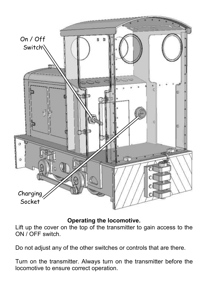

**Operating the locomotive.**

Lift up the cover on the top of the transmitter to gain access to the ON / OFF switch.

Do not adjust any of the other switches or controls that are there.

Turn on the transmitter. Always turn on the transmitter before the locomotive to ensure correct operation.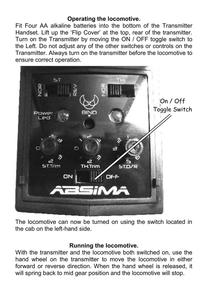### **Operating the locomotive.**

Fit Four AA alkaline batteries into the bottom of the Transmitter Handset. Lift up the 'Flip Cover' at the top, rear of the transmitter. Turn on the Transmitter by moving the ON / OFF toggle switch to the Left. Do not adjust any of the other switches or controls on the Transmitter. Always turn on the transmitter before the locomotive to ensure correct operation.



The locomotive can now be turned on using the switch located in the cab on the left-hand side.

#### **Running the locomotive.**

With the transmitter and the locomotive both switched on, use the hand wheel on the transmitter to move the locomotive in either forward or reverse direction. When the hand wheel is released, it will spring back to mid gear position and the locomotive will stop.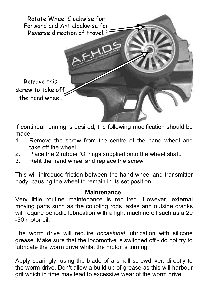

If continual running is desired, the following modification should be made.

- 1. Remove the screw from the centre of the hand wheel and take off the wheel.
- 2. Place the 2 rubber 'O' rings supplied onto the wheel shaft.<br>3. Refit the hand wheel and replace the screw
- Refit the hand wheel and replace the screw.

This will introduce friction between the hand wheel and transmitter body, causing the wheel to remain in its set position.

#### **Maintenance.**

Very little routine maintenance is required. However, external moving parts such as the coupling rods, axles and outside cranks will require periodic lubrication with a light machine oil such as a 20 -50 motor oil.

The worm drive will require *occasional* lubrication with silicone grease. Make sure that the locomotive is switched off - do not try to lubricate the worm drive whilst the motor is turning.

Apply sparingly, using the blade of a small screwdriver, directly to the worm drive. Don't allow a build up of grease as this will harbour grit which in time may lead to excessive wear of the worm drive.